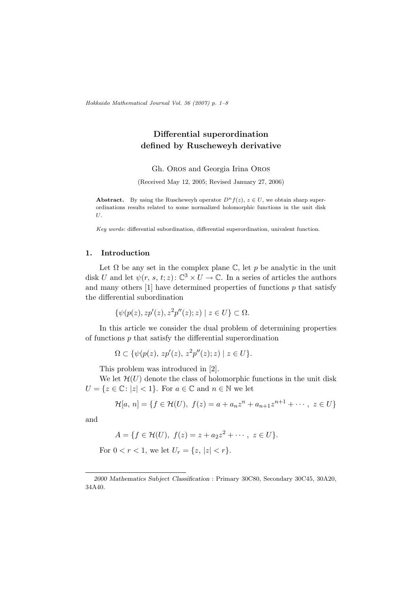Hokkaido Mathematical Journal Vol. 36 (2007) p. 1–8

## Differential superordination defined by Ruscheweyh derivative

Gh. Oros and Georgia Irina Oros

(Received May 12, 2005; Revised January 27, 2006)

Abstract. By using the Ruscheweyh operator  $D^n f(z)$ ,  $z \in U$ , we obtain sharp superordinations results related to some normalized holomorphic functions in the unit disk U.

Key words: differential subordination, differential superordination, univalent function.

## 1. Introduction

Let  $\Omega$  be any set in the complex plane  $\mathbb{C}$ , let p be analytic in the unit disk U and let  $\psi(r, s, t; z)$ :  $\mathbb{C}^3 \times U \to \mathbb{C}$ . In a series of articles the authors and many others  $[1]$  have determined properties of functions  $p$  that satisfy the differential subordination

$$
\{\psi(p(z), z p'(z), z^2 p''(z); z) \mid z \in U\} \subset \Omega.
$$

In this article we consider the dual problem of determining properties of functions  $p$  that satisfy the differential superordination

$$
\Omega \subset \{ \psi(p(z), z p'(z), z^2 p''(z); z) \mid z \in U \}.
$$

This problem was introduced in [2].

We let  $\mathcal{H}(U)$  denote the class of holomorphic functions in the unit disk  $U = \{z \in \mathbb{C} : |z| < 1\}$ . For  $a \in \mathbb{C}$  and  $n \in \mathbb{N}$  we let

$$
\mathcal{H}[a, n] = \{ f \in \mathcal{H}(U), \ f(z) = a + a_n z^n + a_{n+1} z^{n+1} + \cdots, \ z \in U \}
$$

and

$$
A = \{ f \in \mathcal{H}(U), \ f(z) = z + a_2 z^2 + \cdots, \ z \in U \}.
$$

For  $0 < r < 1$ , we let  $U_r = \{z, |z| < r\}.$ 

<sup>2000</sup> Mathematics Subject Classification : Primary 30C80, Secondary 30C45, 30A20, 34A40.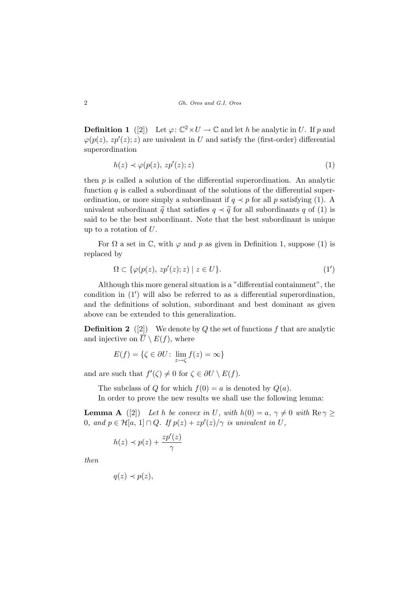**Definition 1** ([2]) Let  $\varphi: \mathbb{C}^2 \times U \to \mathbb{C}$  and let h be analytic in U. If p and  $\varphi(p(z), z p'(z); z)$  are univalent in U and satisfy the (first-order) differential superordination

$$
h(z) \prec \varphi(p(z), z p'(z); z) \tag{1}
$$

then  $p$  is called a solution of the differential superordination. An analytic function  $q$  is called a subordinant of the solutions of the differential superordination, or more simply a subordinant if  $q \prec p$  for all p satisfying (1). A univalent subordinant  $\tilde{q}$  that satisfies  $q \prec \tilde{q}$  for all subordinants q of (1) is said to be the best subordinant. Note that the best subordinant is unique up to a rotation of U.

For  $\Omega$  a set in  $\mathbb{C}$ , with  $\varphi$  and p as given in Definition 1, suppose (1) is replaced by

$$
\Omega \subset \{ \varphi(p(z), z p'(z); z) \mid z \in U \}.
$$
\n<sup>(1')</sup>

Although this more general situation is a "differential containment", the condition in  $(1')$  will also be referred to as a differential superordination, and the definitions of solution, subordinant and best dominant as given above can be extended to this generalization.

**Definition 2** ([2]) We denote by Q the set of functions f that are analytic and injective on  $\overline{U} \setminus E(f)$ , where

$$
E(f) = \{ \zeta \in \partial U \colon \lim_{z \to \zeta} f(z) = \infty \}
$$

and are such that  $f'(\zeta) \neq 0$  for  $\zeta \in \partial U \setminus E(f)$ .

The subclass of Q for which  $f(0) = a$  is denoted by  $Q(a)$ .

In order to prove the new results we shall use the following lemma:

**Lemma A** ([2]) Let h be convex in U, with  $h(0) = a, \gamma \neq 0$  with  $\text{Re}\,\gamma \geq 0$ 0, and  $p \in H[a, 1] \cap Q$ . If  $p(z) + zp'(z)/\gamma$  is univalent in U,

$$
h(z) \prec p(z) + \frac{zp'(z)}{\gamma}
$$

then

$$
q(z) \prec p(z),
$$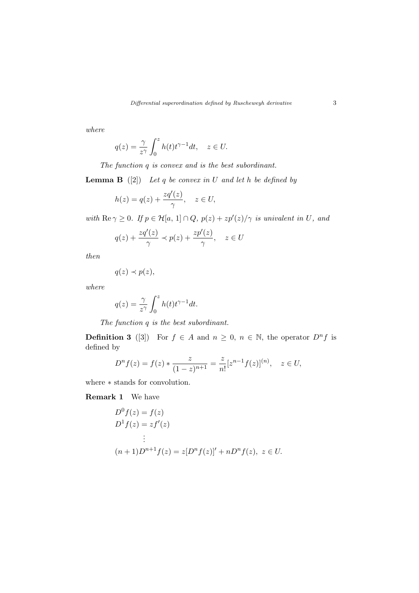where

$$
q(z) = \frac{\gamma}{z^{\gamma}} \int_0^z h(t) t^{\gamma - 1} dt, \quad z \in U.
$$

The function q is convex and is the best subordinant.

**Lemma B** ([2]) Let q be convex in U and let h be defined by

$$
h(z) = q(z) + \frac{zq'(z)}{\gamma}, \quad z \in U,
$$

with  $\text{Re } \gamma \geq 0$ . If  $p \in \mathcal{H}[a, 1] \cap Q$ ,  $p(z) + zp'(z)/\gamma$  is univalent in U, and

$$
q(z) + \frac{zq'(z)}{\gamma} \prec p(z) + \frac{zp'(z)}{\gamma}, \quad z \in U
$$

then

$$
q(z) \prec p(z),
$$

where

$$
q(z) = \frac{\gamma}{z^{\gamma}} \int_0^z h(t) t^{\gamma - 1} dt.
$$

The function q is the best subordinant.

**Definition 3** ([3]) For  $f \in A$  and  $n \geq 0$ ,  $n \in \mathbb{N}$ , the operator  $D^n f$  is defined by

$$
D^{n} f(z) = f(z) * \frac{z}{(1-z)^{n+1}} = \frac{z}{n!} [z^{n-1} f(z)]^{(n)}, \quad z \in U,
$$

where ∗ stands for convolution.

Remark 1 We have

$$
D0 f(z) = f(z)
$$
  
\n
$$
D1 f(z) = zf'(z)
$$
  
\n
$$
\vdots
$$
  
\n
$$
(n+1)Dn+1 f(z) = z[Dn f(z)]' + nDn f(z), z \in U.
$$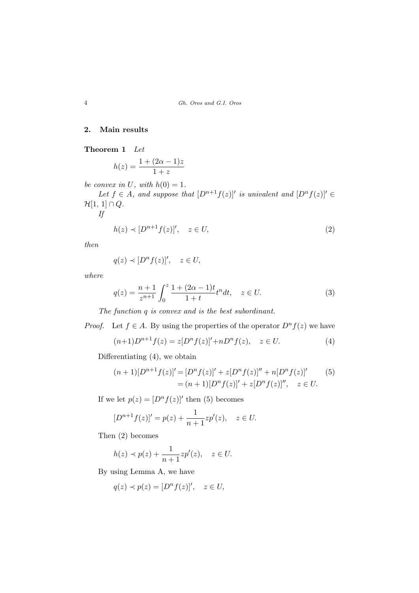## 2. Main results

Theorem 1 Let

$$
h(z) = \frac{1 + (2\alpha - 1)z}{1 + z}
$$

be convex in U, with  $h(0) = 1$ .

Let  $f \in A$ , and suppose that  $[D^{n+1}f(z)]'$  is univalent and  $[D^{n}f(z)]' \in$  $\mathcal{H}[1, 1] \cap Q$ . If

$$
h(z) \prec [D^{n+1}f(z)]', \quad z \in U,
$$
\n<sup>(2)</sup>

then

$$
q(z) \prec [D^n f(z)]', \quad z \in U,
$$

where

$$
q(z) = \frac{n+1}{z^{n+1}} \int_0^z \frac{1 + (2\alpha - 1)t}{1+t} t^n dt, \quad z \in U.
$$
 (3)

The function q is convex and is the best subordinant.

*Proof.* Let  $f \in A$ . By using the properties of the operator  $D^n f(z)$  we have

$$
(n+1)D^{n+1}f(z) = z[D^{n}f(z)]' + nD^{n}f(z), \quad z \in U.
$$
 (4)

Differentiating (4), we obtain

$$
(n+1)[D^{n+1}f(z)]' = [D^n f(z)]' + z[D^n f(z)]'' + n[D^n f(z)]'
$$
(5)  
=  $(n+1)[D^n f(z)]' + z[D^n f(z)]''$ ,  $z \in U$ .

If we let  $p(z) = [D^n f(z)]'$  then (5) becomes

$$
[D^{n+1}f(z)]' = p(z) + \frac{1}{n+1}zp'(z), \quad z \in U.
$$

Then (2) becomes

$$
h(z) \prec p(z) + \frac{1}{n+1} z p'(z), \quad z \in U.
$$

By using Lemma A, we have

$$
q(z) \prec p(z) = [D^n f(z)]', \quad z \in U,
$$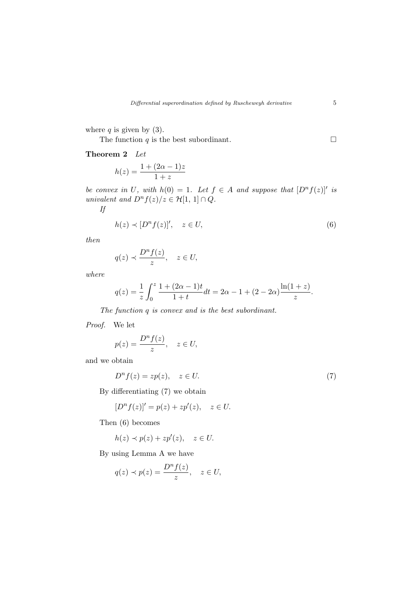where  $q$  is given by (3).

The function  $q$  is the best subordinant.  $\Box$ 

Theorem 2 Let

$$
h(z) = \frac{1 + (2\alpha - 1)z}{1 + z}
$$

be convex in U, with  $h(0) = 1$ . Let  $f \in A$  and suppose that  $[D^n f(z)]'$  is univalent and  $D^n f(z)/z \in \mathcal{H}[1, 1] \cap Q$ . If

$$
h(z) \prec [D^n f(z)]', \quad z \in U,
$$
\n<sup>(6)</sup>

then

$$
q(z) \prec \frac{D^n f(z)}{z}, \quad z \in U,
$$

where

$$
q(z) = \frac{1}{z} \int_0^z \frac{1 + (2\alpha - 1)t}{1 + t} dt = 2\alpha - 1 + (2 - 2\alpha) \frac{\ln(1 + z)}{z}.
$$

The function q is convex and is the best subordinant.

Proof. We let

$$
p(z) = \frac{D^n f(z)}{z}, \quad z \in U,
$$

and we obtain

$$
D^n f(z) = zp(z), \quad z \in U. \tag{7}
$$

By differentiating (7) we obtain

$$
[Dn f(z)]' = p(z) + zp'(z), \quad z \in U.
$$

Then (6) becomes

$$
h(z) \prec p(z) + z p'(z), \quad z \in U.
$$

By using Lemma A we have

$$
q(z) \prec p(z) = \frac{D^n f(z)}{z}, \quad z \in U,
$$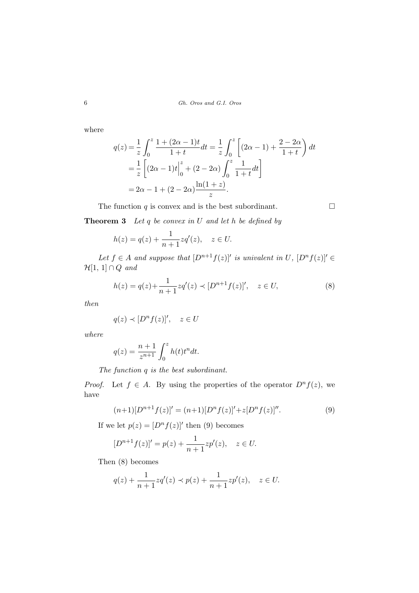where

$$
q(z) = \frac{1}{z} \int_0^z \frac{1 + (2\alpha - 1)t}{1 + t} dt = \frac{1}{z} \int_0^z \left[ (2\alpha - 1) + \frac{2 - 2\alpha}{1 + t} \right] dt
$$
  
=  $\frac{1}{z} \left[ (2\alpha - 1)t \Big|_0^z + (2 - 2\alpha) \int_0^z \frac{1}{1 + t} dt \right]$   
=  $2\alpha - 1 + (2 - 2\alpha) \frac{\ln(1 + z)}{z}.$ 

The function  $q$  is convex and is the best subordinant.  $\Box$ 

**Theorem 3** Let  $q$  be convex in  $U$  and let  $h$  be defined by

$$
h(z) = q(z) + \frac{1}{n+1}zq'(z), \quad z \in U.
$$

Let  $f \in A$  and suppose that  $[D^{n+1}f(z)]'$  is univalent in U,  $[D^{n}f(z)]' \in$  $\mathcal{H}[1, 1] \cap Q$  and

$$
h(z) = q(z) + \frac{1}{n+1} z q'(z) \prec [D^{n+1} f(z)]', \quad z \in U,
$$
\n(8)

then

$$
q(z) \prec [D^n f(z)]', \quad z \in U
$$

where

$$
q(z) = \frac{n+1}{z^{n+1}} \int_0^z h(t)t^n dt.
$$

The function q is the best subordinant.

*Proof.* Let  $f \in A$ . By using the properties of the operator  $D^n f(z)$ , we have

$$
(n+1)[D^{n+1}f(z)]' = (n+1)[D^n f(z)]' + z[D^n f(z)]''.
$$
\n(9)

If we let  $p(z) = [D^n f(z)]'$  then (9) becomes

$$
[D^{n+1}f(z)]' = p(z) + \frac{1}{n+1}zp'(z), \quad z \in U.
$$

Then (8) becomes

$$
q(z) + \frac{1}{n+1}zq'(z) \prec p(z) + \frac{1}{n+1}zp'(z), \quad z \in U.
$$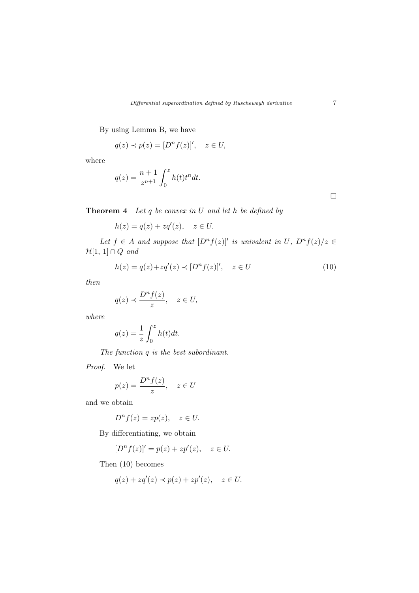By using Lemma B, we have

$$
q(z) \prec p(z) = [D^n f(z)]', \quad z \in U,
$$

where

$$
q(z) = \frac{n+1}{z^{n+1}} \int_0^z h(t)t^n dt.
$$

 $\Box$ 

**Theorem 4** Let  $q$  be convex in  $U$  and let  $h$  be defined by

$$
h(z) = q(z) + zq'(z), \quad z \in U.
$$

Let  $f \in A$  and suppose that  $[D^n f(z)]'$  is univalent in U,  $D^n f(z)/z \in A$  $\mathcal{H}[1, 1] \cap Q$  and

$$
h(z) = q(z) + zq'(z) \prec [D^n f(z)]', \quad z \in U
$$
\n(10)

then

$$
q(z) \prec \frac{D^n f(z)}{z}, \quad z \in U,
$$

where

$$
q(z) = \frac{1}{z} \int_0^z h(t)dt.
$$

The function q is the best subordinant.

Proof. We let

$$
p(z) = \frac{D^n f(z)}{z}, \quad z \in U
$$

and we obtain

$$
D^n f(z) = zp(z), \quad z \in U.
$$

By differentiating, we obtain

$$
[Dn f(z)]' = p(z) + zp'(z), \quad z \in U.
$$

Then (10) becomes

$$
q(z) + zq'(z) \prec p(z) + zp'(z), \quad z \in U.
$$